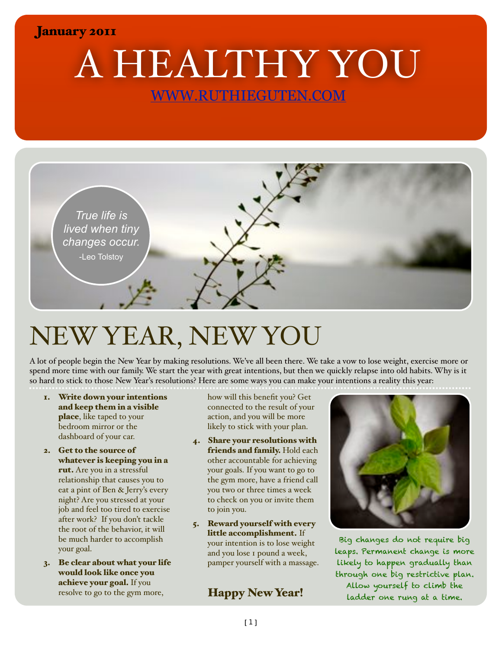#### January 2011

A HEALTHY YOU [WWW.RUTHIEGUTEN.COM](http://WWW.RUTHIEGUTEN.COM)



# NEW YEAR, NEW YOU

A lot of people begin the New Year by making resolutions. We've all been there. We take a vow to lose weight, exercise more or spend more time with our family. We start the year with great intentions, but then we quickly relapse into old habits. Why is it so hard to stick to those New Year's resolutions? Here are some ways you can make your intentions a reality this year:

- 1. Write down your intentions and keep them in a visible place, like taped to your bedroom mirror or the dashboard of your car.
- 2. Get to the source of whatever is keeping you in a rut. Are you in a stressful relationship that causes you to eat a pint of Ben & Jerry's every night? Are you stressed at your job and feel too tired to exercise after work? If you don't tackle the root of the behavior, it will be much harder to accomplish your goal.
- 3. Be clear about what your life would look like once you achieve your goal. If you resolve to go to the gym more,

how will this benefit you? Get connected to the result of your action, and you will be more likely to stick with your plan.

- 4. Share your resolutions with friends and family. Hold each other accountable for achieving your goals. If you want to go to the gym more, have a friend call you two or three times a week to check on you or invite them to join you.
- 5. Reward yourself with every little accomplishment. If your intention is to lose weight and you lose 1 pound a week, pamper yourself with a massage.

#### Happy New Year!



Big changes do not require big leaps. Permanent change is more likely to happen gradually than through one big restrictive plan. Allow yourself to climb the ladder one rung at a time.